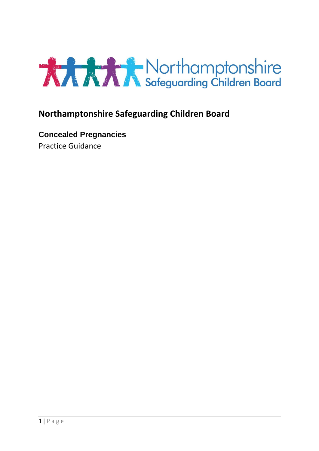

## **Northamptonshire Safeguarding Children Board**

**Concealed Pregnancies** Practice Guidance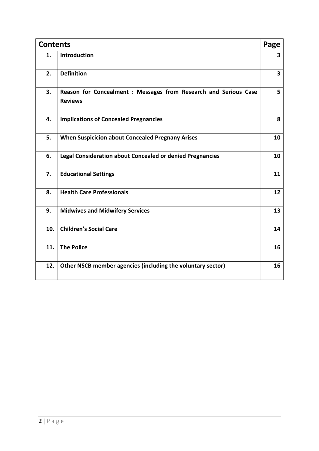| <b>Contents</b> |                                                                                    | Page                    |
|-----------------|------------------------------------------------------------------------------------|-------------------------|
| 1.              | <b>Introduction</b>                                                                | 3                       |
| 2.              | <b>Definition</b>                                                                  | $\overline{\mathbf{3}}$ |
| 3.              | Reason for Concealment : Messages from Research and Serious Case<br><b>Reviews</b> | 5                       |
| 4.              | <b>Implications of Concealed Pregnancies</b>                                       | 8                       |
| 5.              | <b>When Suspicicion about Concealed Pregnany Arises</b>                            | 10                      |
| 6.              | <b>Legal Consideration about Concealed or denied Pregnancies</b>                   | 10                      |
| 7.              | <b>Educational Settings</b>                                                        | 11                      |
| 8.              | <b>Health Care Professionals</b>                                                   | 12                      |
| 9.              | <b>Midwives and Midwifery Services</b>                                             | 13                      |
| 10.             | <b>Children's Social Care</b>                                                      | 14                      |
| 11.             | <b>The Police</b>                                                                  | 16                      |
| 12.             | Other NSCB member agencies (including the voluntary sector)                        | 16                      |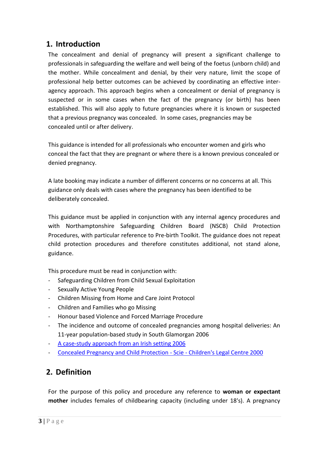### **1. Introduction**

The concealment and denial of pregnancy will present a significant challenge to professionals in safeguarding the welfare and well being of the foetus (unborn child) and the mother. While concealment and denial, by their very nature, limit the scope of professional help better outcomes can be achieved by coordinating an effective interagency approach. This approach begins when a concealment or denial of pregnancy is suspected or in some cases when the fact of the pregnancy (or birth) has been established. This will also apply to future pregnancies where it is known or suspected that a previous pregnancy was concealed. In some cases, pregnancies may be concealed until or after delivery.

This guidance is intended for all professionals who encounter women and girls who conceal the fact that they are pregnant or where there is a known previous concealed or denied pregnancy.

A late booking may indicate a number of different concerns or no concerns at all. This guidance only deals with cases where the pregnancy has been identified to be deliberately concealed.

This guidance must be applied in conjunction with any internal agency procedures and with Northamptonshire Safeguarding Children Board (NSCB) Child Protection Procedures, with particular reference to Pre‐birth Toolkit. The guidance does not repeat child protection procedures and therefore constitutes additional, not stand alone, guidance.

This procedure must be read in conjunction with:

- Safeguarding Children from Child Sexual Exploitation
- Sexually Active Young People
- Children Missing from Home and Care Joint Protocol
- Children and Families who go Missing
- Honour based Violence and Forced Marriage Procedure
- The incidence and outcome of concealed pregnancies among hospital deliveries: An 11-year population-based study in South Glamorgan 2006
- [A case-study approach from an Irish setting 2006](http://crisispregnancy.ie/wp-content/uploads/2012/05/15.-Concealed-pregnancy-a-case-study-approach-form-an-Irish-setting.pdf)
- [Concealed Pregnancy and Child Protection -](http://www.scie-socialcareonline.org.uk/concealed-pregnancy-and-child-protection/r/a1CG0000000GiVtMAK) Scie Children's Legal Centre 2000

## **2. Definition**

For the purpose of this policy and procedure any reference to **woman or expectant mother** includes females of childbearing capacity (including under 18's). A pregnancy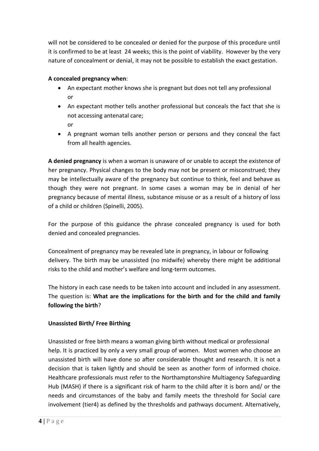will not be considered to be concealed or denied for the purpose of this procedure until it is confirmed to be at least 24 weeks; this is the point of viability. However by the very nature of concealment or denial, it may not be possible to establish the exact gestation.

### **A concealed pregnancy when**:

- An expectant mother knows she is pregnant but does not tell any professional or
- An expectant mother tells another professional but conceals the fact that she is not accessing antenatal care; or
- A pregnant woman tells another person or persons and they conceal the fact from all health agencies.

**A denied pregnancy** is when a woman is unaware of or unable to accept the existence of her pregnancy. Physical changes to the body may not be present or misconstrued; they may be intellectually aware of the pregnancy but continue to think, feel and behave as though they were not pregnant. In some cases a woman may be in denial of her pregnancy because of mental illness, substance misuse or as a result of a history of loss of a child or children (Spinelli, 2005).

For the purpose of this guidance the phrase concealed pregnancy is used for both denied and concealed pregnancies.

Concealment of pregnancy may be revealed late in pregnancy, in labour or following delivery. The birth may be unassisted (no midwife) whereby there might be additional risks to the child and mother's welfare and long‐term outcomes.

The history in each case needs to be taken into account and included in any assessment. The question is: **What are the implications for the birth and for the child and family following the birth**?

### **Unassisted Birth/ Free Birthing**

Unassisted or free birth means a woman giving birth without medical or professional help. It is practiced by only a very small group of women. Most women who choose an unassisted birth will have done so after considerable thought and research. It is not a decision that is taken lightly and should be seen as another form of informed choice. Healthcare professionals must refer to the Northamptonshire Multiagency Safeguarding Hub (MASH) if there is a significant risk of harm to the child after it is born and/ or the needs and circumstances of the baby and family meets the threshold for Social care involvement (tier4) as defined by the thresholds and pathways document. Alternatively,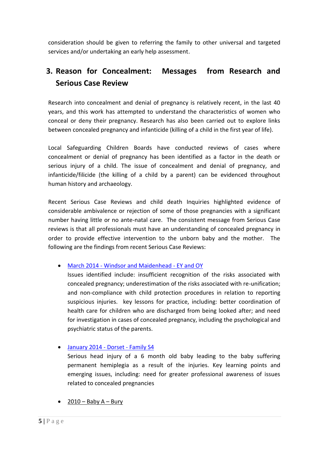consideration should be given to referring the family to other universal and targeted services and/or undertaking an early help assessment.

## **3. Reason for Concealment: Messages from Research and Serious Case Review**

Research into concealment and denial of pregnancy is relatively recent, in the last 40 years, and this work has attempted to understand the characteristics of women who conceal or deny their pregnancy. Research has also been carried out to explore links between concealed pregnancy and infanticide (killing of a child in the first year of life).

Local Safeguarding Children Boards have conducted reviews of cases where concealment or denial of pregnancy has been identified as a factor in the death or serious injury of a child. The issue of concealment and denial of pregnancy, and infanticide/filicide (the killing of a child by a parent) can be evidenced throughout human history and archaeology.

Recent Serious Case Reviews and child death Inquiries highlighted evidence of considerable ambivalence or rejection of some of those pregnancies with a significant number having little or no ante-natal care. The consistent message from Serious Case reviews is that all professionals must have an understanding of concealed pregnancy in order to provide effective intervention to the unborn baby and the mother. The following are the findings from recent Serious Case Reviews:

### March 2014 - [Windsor and Maidenhead -](http://library.nspcc.org.uk/HeritageScripts/Hapi.dll/search2?searchTerm0=C5052) EY and OY

Issues identified include: insufficient recognition of the risks associated with concealed pregnancy; underestimation of the risks associated with re-unification; and non-compliance with child protection procedures in relation to reporting suspicious injuries. key lessons for practice, including: better coordination of health care for children who are discharged from being looked after; and need for investigation in cases of concealed pregnancy, including the psychological and psychiatric status of the parents.

### [January 2014 -](http://www.westsussexscb.org.uk/wp-content/uploads/2014DorsetFamilyS4Overview.pdf) Dorset - Family S4

Serious head injury of a 6 month old baby leading to the baby suffering permanent hemiplegia as a result of the injuries. Key learning points and emerging issues, including: need for greater professional awareness of issues related to concealed pregnancies

 $\bullet$  2010 – Baby A – Bury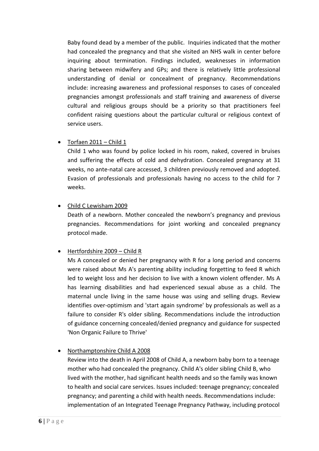Baby found dead by a member of the public. Inquiries indicated that the mother had concealed the pregnancy and that she visited an NHS walk in center before inquiring about termination. Findings included, weaknesses in information sharing between midwifery and GPs; and there is relatively little professional understanding of denial or concealment of pregnancy. Recommendations include: increasing awareness and professional responses to cases of concealed pregnancies amongst professionals and staff training and awareness of diverse cultural and religious groups should be a priority so that practitioners feel confident raising questions about the particular cultural or religious context of service users.

### $\bullet$  Torfaen 2011 – Child 1

Child 1 who was found by police locked in his room, naked, covered in bruises and suffering the effects of cold and dehydration. Concealed pregnancy at 31 weeks, no ante-natal care accessed, 3 children previously removed and adopted. Evasion of professionals and professionals having no access to the child for 7 weeks.

Child C Lewisham 2009

Death of a newborn. Mother concealed the newborn's pregnancy and previous pregnancies. Recommendations for joint working and concealed pregnancy protocol made.

### Hertfordshire 2009 – Child R

Ms A concealed or denied her pregnancy with R for a long period and concerns were raised about Ms A's parenting ability including forgetting to feed R which led to weight loss and her decision to live with a known violent offender. Ms A has learning disabilities and had experienced sexual abuse as a child. The maternal uncle living in the same house was using and selling drugs. Review identifies over-optimism and 'start again syndrome' by professionals as well as a failure to consider R's older sibling. Recommendations include the introduction of guidance concerning concealed/denied pregnancy and guidance for suspected 'Non Organic Failure to Thrive'

### Northamptonshire Child A 2008

Review into the death in April 2008 of Child A, a newborn baby born to a teenage mother who had concealed the pregnancy. Child A's older sibling Child B, who lived with the mother, had significant health needs and so the family was known to health and social care services. Issues included: teenage pregnancy; concealed pregnancy; and parenting a child with health needs. Recommendations include: implementation of an Integrated Teenage Pregnancy Pathway, including protocol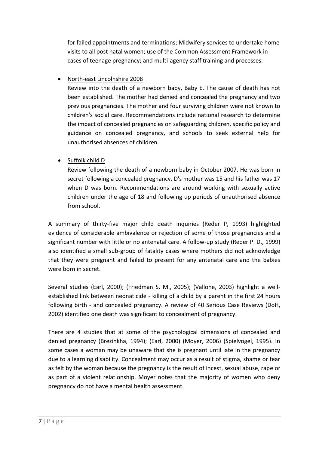for failed appointments and terminations; Midwifery services to undertake home visits to all post natal women; use of the Common Assessment Framework in cases of teenage pregnancy; and multi-agency staff training and processes.

North-east Lincolnshire 2008

Review into the death of a newborn baby, Baby E. The cause of death has not been established. The mother had denied and concealed the pregnancy and two previous pregnancies. The mother and four surviving children were not known to children's social care. Recommendations include national research to determine the impact of concealed pregnancies on safeguarding children, specific policy and guidance on concealed pregnancy, and schools to seek external help for unauthorised absences of children.

### Suffolk child D

Review following the death of a newborn baby in October 2007. He was born in secret following a concealed pregnancy. D's mother was 15 and his father was 17 when D was born. Recommendations are around working with sexually active children under the age of 18 and following up periods of unauthorised absence from school.

A summary of thirty-five major child death inquiries (Reder P, 1993) highlighted evidence of considerable ambivalence or rejection of some of those pregnancies and a significant number with little or no antenatal care. A follow-up study (Reder P. D., 1999) also identified a small sub-group of fatality cases where mothers did not acknowledge that they were pregnant and failed to present for any antenatal care and the babies were born in secret.

Several studies (Earl, 2000); (Friedman S. M., 2005); (Vallone, 2003) highlight a wellestablished link between neonaticide - killing of a child by a parent in the first 24 hours following birth - and concealed pregnancy. A review of 40 Serious Case Reviews (DoH, 2002) identified one death was significant to concealment of pregnancy.

There are 4 studies that at some of the psychological dimensions of concealed and denied pregnancy (Brezinkha, 1994); (Earl, 2000) (Moyer, 2006) (Spielvogel, 1995). In some cases a woman may be unaware that she is pregnant until late in the pregnancy due to a learning disability. Concealment may occur as a result of stigma, shame or fear as felt by the woman because the pregnancy is the result of incest, sexual abuse, rape or as part of a violent relationship. Moyer notes that the majority of women who deny pregnancy do not have a mental health assessment.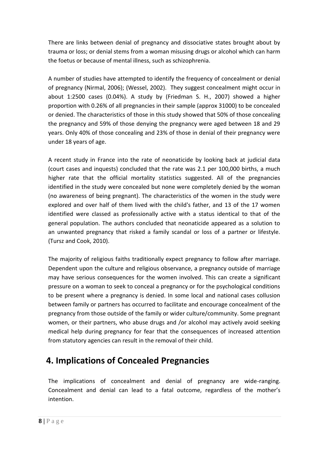There are links between denial of pregnancy and dissociative states brought about by trauma or loss; or denial stems from a woman misusing drugs or alcohol which can harm the foetus or because of mental illness, such as schizophrenia.

A number of studies have attempted to identify the frequency of concealment or denial of pregnancy (Nirmal, 2006); (Wessel, 2002). They suggest concealment might occur in about 1:2500 cases (0.04%). A study by (Friedman S. H., 2007) showed a higher proportion with 0.26% of all pregnancies in their sample (approx 31000) to be concealed or denied. The characteristics of those in this study showed that 50% of those concealing the pregnancy and 59% of those denying the pregnancy were aged between 18 and 29 years. Only 40% of those concealing and 23% of those in denial of their pregnancy were under 18 years of age.

A recent study in France into the rate of neonaticide by looking back at judicial data (court cases and inquests) concluded that the rate was 2.1 per 100,000 births, a much higher rate that the official mortality statistics suggested. All of the pregnancies identified in the study were concealed but none were completely denied by the woman (no awareness of being pregnant). The characteristics of the women in the study were explored and over half of them lived with the child's father, and 13 of the 17 women identified were classed as professionally active with a status identical to that of the general population. The authors concluded that neonaticide appeared as a solution to an unwanted pregnancy that risked a family scandal or loss of a partner or lifestyle. (Tursz and Cook, 2010).

The majority of religious faiths traditionally expect pregnancy to follow after marriage. Dependent upon the culture and religious observance, a pregnancy outside of marriage may have serious consequences for the women involved. This can create a significant pressure on a woman to seek to conceal a pregnancy or for the psychological conditions to be present where a pregnancy is denied. In some local and national cases collusion between family or partners has occurred to facilitate and encourage concealment of the pregnancy from those outside of the family or wider culture/community. Some pregnant women, or their partners, who abuse drugs and /or alcohol may actively avoid seeking medical help during pregnancy for fear that the consequences of increased attention from statutory agencies can result in the removal of their child.

# **4. Implications of Concealed Pregnancies**

The implications of concealment and denial of pregnancy are wide-ranging. Concealment and denial can lead to a fatal outcome, regardless of the mother's intention.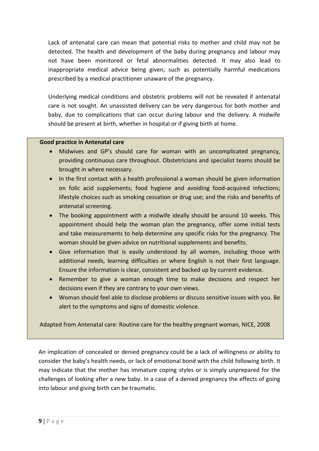Lack of antenatal care can mean that potential risks to mother and child may not be detected. The health and development of the baby during pregnancy and labour may not have been monitored or fetal abnormalities detected. It may also lead to inappropriate medical advice being given; such as potentially harmful medications prescribed by a medical practitioner unaware of the pregnancy.

Underlying medical conditions and obstetric problems will not be revealed if antenatal care is not sought. An unassisted delivery can be very dangerous for both mother and baby, due to complications that can occur during labour and the delivery. A midwife should be present at birth, whether in hospital or if giving birth at home.

#### **Good practice in Antenatal care**

- Midwives and GP's should care for woman with an uncomplicated pregnancy, providing continuous care throughout. Obstetricians and specialist teams should be brought in where necessary.
- In the first contact with a health professional a woman should be given information on folic acid supplements; food hygiene and avoiding food-acquired infections; lifestyle choices such as smoking cessation or drug use; and the risks and benefits of antenatal screening.
- The booking appointment with a midwife ideally should be around 10 weeks. This appointment should help the woman plan the pregnancy, offer some initial tests and take measurements to help determine any specific risks for the pregnancy. The woman should be given advice on nutritional supplements and benefits.
- Give information that is easily understood by all women, including those with additional needs, learning difficulties or where English is not their first language. Ensure the information is clear, consistent and backed up by current evidence.
- Remember to give a woman enough time to make decisions and respect her decisions even if they are contrary to your own views.
- Woman should feel able to disclose problems or discuss sensitive issues with you. Be alert to the symptoms and signs of domestic violence.

Adapted from Antenatal care: Routine care for the healthy pregnant woman, NICE, 2008

An implication of concealed or denied pregnancy could be a lack of willingness or ability to consider the baby's health needs, or lack of emotional bond with the child following birth. It may indicate that the mother has immature coping styles or is simply unprepared for the challenges of looking after a new baby. In a case of a denied pregnancy the effects of going into labour and giving birth can be traumatic.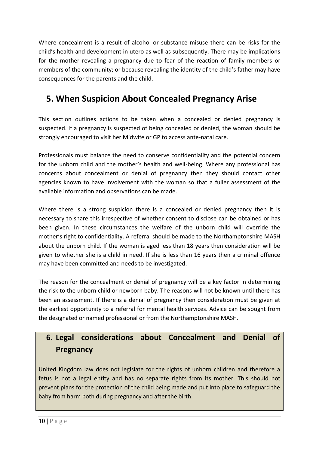Where concealment is a result of alcohol or substance misuse there can be risks for the child's health and development in utero as well as subsequently. There may be implications for the mother revealing a pregnancy due to fear of the reaction of family members or members of the community; or because revealing the identity of the child's father may have consequences for the parents and the child.

# **5. When Suspicion About Concealed Pregnancy Arise**

This section outlines actions to be taken when a concealed or denied pregnancy is suspected. If a pregnancy is suspected of being concealed or denied, the woman should be strongly encouraged to visit her Midwife or GP to access ante-natal care.

Professionals must balance the need to conserve confidentiality and the potential concern for the unborn child and the mother's health and well-being. Where any professional has concerns about concealment or denial of pregnancy then they should contact other agencies known to have involvement with the woman so that a fuller assessment of the available information and observations can be made.

Where there is a strong suspicion there is a concealed or denied pregnancy then it is necessary to share this irrespective of whether consent to disclose can be obtained or has been given. In these circumstances the welfare of the unborn child will override the mother's right to confidentiality. A referral should be made to the Northamptonshire MASH about the unborn child. If the woman is aged less than 18 years then consideration will be given to whether she is a child in need. If she is less than 16 years then a criminal offence may have been committed and needs to be investigated.

The reason for the concealment or denial of pregnancy will be a key factor in determining the risk to the unborn child or newborn baby. The reasons will not be known until there has been an assessment. If there is a denial of pregnancy then consideration must be given at the earliest opportunity to a referral for mental health services. Advice can be sought from the designated or named professional or from the Northamptonshire MASH.

## **6. Legal considerations about Concealment and Denial of Pregnancy**

United Kingdom law does not legislate for the rights of unborn children and therefore a fetus is not a legal entity and has no separate rights from its mother. This should not prevent plans for the protection of the child being made and put into place to safeguard the baby from harm both during pregnancy and after the birth.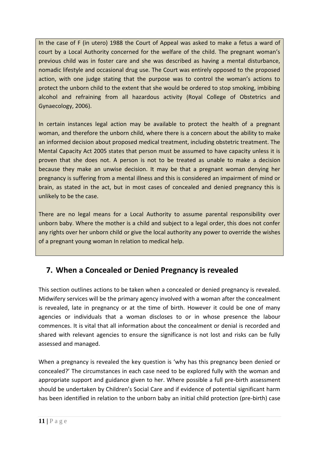In the case of F (in utero) 1988 the Court of Appeal was asked to make a fetus a ward of court by a Local Authority concerned for the welfare of the child. The pregnant woman's previous child was in foster care and she was described as having a mental disturbance, nomadic lifestyle and occasional drug use. The Court was entirely opposed to the proposed action, with one judge stating that the purpose was to control the woman's actions to protect the unborn child to the extent that she would be ordered to stop smoking, imbibing alcohol and refraining from all hazardous activity (Royal College of Obstetrics and Gynaecology, 2006).

In certain instances legal action may be available to protect the health of a pregnant woman, and therefore the unborn child, where there is a concern about the ability to make an informed decision about proposed medical treatment, including obstetric treatment. The Mental Capacity Act 2005 states that person must be assumed to have capacity unless it is proven that she does not. A person is not to be treated as unable to make a decision because they make an unwise decision. It may be that a pregnant woman denying her pregnancy is suffering from a mental illness and this is considered an impairment of mind or brain, as stated in the act, but in most cases of concealed and denied pregnancy this is unlikely to be the case.

There are no legal means for a Local Authority to assume parental responsibility over unborn baby. Where the mother is a child and subject to a legal order, this does not confer any rights over her unborn child or give the local authority any power to override the wishes of a pregnant young woman In relation to medical help.

## **7. When a Concealed or Denied Pregnancy is revealed**

This section outlines actions to be taken when a concealed or denied pregnancy is revealed. Midwifery services will be the primary agency involved with a woman after the concealment is revealed, late in pregnancy or at the time of birth. However it could be one of many agencies or individuals that a woman discloses to or in whose presence the labour commences. It is vital that all information about the concealment or denial is recorded and shared with relevant agencies to ensure the significance is not lost and risks can be fully assessed and managed.

When a pregnancy is revealed the key question is 'why has this pregnancy been denied or concealed?' The circumstances in each case need to be explored fully with the woman and appropriate support and guidance given to her. Where possible a full pre-birth assessment should be undertaken by Children's Social Care and if evidence of potential significant harm has been identified in relation to the unborn baby an initial child protection (pre-birth) case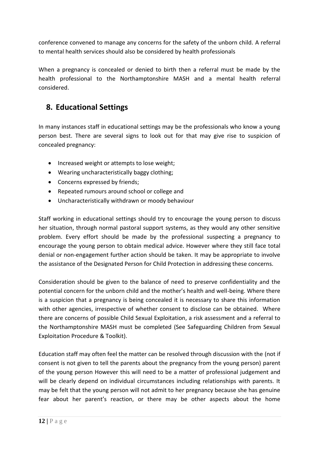conference convened to manage any concerns for the safety of the unborn child. A referral to mental health services should also be considered by health professionals

When a pregnancy is concealed or denied to birth then a referral must be made by the health professional to the Northamptonshire MASH and a mental health referral considered.

## **8. Educational Settings**

In many instances staff in educational settings may be the professionals who know a young person best. There are several signs to look out for that may give rise to suspicion of concealed pregnancy:

- Increased weight or attempts to lose weight;
- Wearing uncharacteristically baggy clothing;
- Concerns expressed by friends:
- Repeated rumours around school or college and
- Uncharacteristically withdrawn or moody behaviour

Staff working in educational settings should try to encourage the young person to discuss her situation, through normal pastoral support systems, as they would any other sensitive problem. Every effort should be made by the professional suspecting a pregnancy to encourage the young person to obtain medical advice. However where they still face total denial or non-engagement further action should be taken. It may be appropriate to involve the assistance of the Designated Person for Child Protection in addressing these concerns.

Consideration should be given to the balance of need to preserve confidentiality and the potential concern for the unborn child and the mother's health and well-being. Where there is a suspicion that a pregnancy is being concealed it is necessary to share this information with other agencies, irrespective of whether consent to disclose can be obtained. Where there are concerns of possible Child Sexual Exploitation, a risk assessment and a referral to the Northamptonshire MASH must be completed (See Safeguarding Children from Sexual Exploitation Procedure & Toolkit).

Education staff may often feel the matter can be resolved through discussion with the (not if consent is not given to tell the parents about the pregnancy from the young person) parent of the young person However this will need to be a matter of professional judgement and will be clearly depend on individual circumstances including relationships with parents. It may be felt that the young person will not admit to her pregnancy because she has genuine fear about her parent's reaction, or there may be other aspects about the home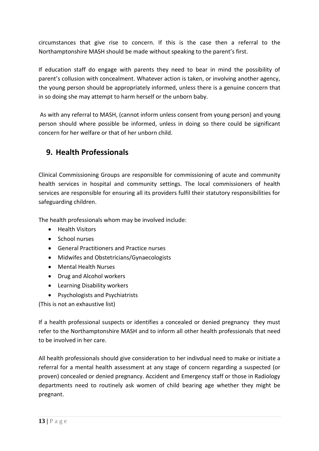circumstances that give rise to concern. If this is the case then a referral to the Northamptonshire MASH should be made without speaking to the parent's first.

If education staff do engage with parents they need to bear in mind the possibility of parent's collusion with concealment. Whatever action is taken, or involving another agency, the young person should be appropriately informed, unless there is a genuine concern that in so doing she may attempt to harm herself or the unborn baby.

As with any referral to MASH, (cannot inform unless consent from young person) and young person should where possible be informed, unless in doing so there could be significant concern for her welfare or that of her unborn child.

### **9. Health Professionals**

Clinical Commissioning Groups are responsible for commissioning of acute and community health services in hospital and community settings. The local commissioners of health services are responsible for ensuring all its providers fulfil their statutory responsibilities for safeguarding children.

The health professionals whom may be involved include:

- Health Visitors
- School nurses
- General Practitioners and Practice nurses
- Midwifes and Obstetricians/Gynaecologists
- Mental Health Nurses
- Drug and Alcohol workers
- Learning Disability workers
- Psychologists and Psychiatrists

(This is not an exhaustive list)

If a health professional suspects or identifies a concealed or denied pregnancy they must refer to the Northamptonshire MASH and to inform all other health professionals that need to be involved in her care.

All health professionals should give consideration to her indivdual need to make or initiate a referral for a mental health assessment at any stage of concern regarding a suspected (or proven) concealed or denied pregnancy. Accident and Emergency staff or those in Radiology departments need to routinely ask women of child bearing age whether they might be pregnant.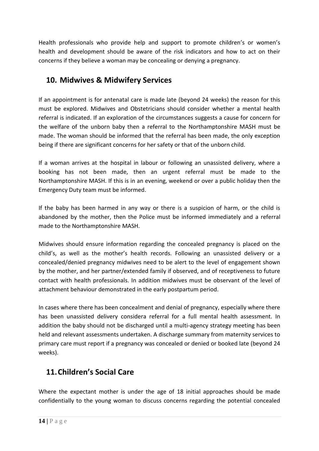Health professionals who provide help and support to promote children's or women's health and development should be aware of the risk indicators and how to act on their concerns if they believe a woman may be concealing or denying a pregnancy.

### **10. Midwives & Midwifery Services**

If an appointment is for antenatal care is made late (beyond 24 weeks) the reason for this must be explored. Midwives and Obstetricians should consider whether a mental health referral is indicated. If an exploration of the circumstances suggests a cause for concern for the welfare of the unborn baby then a referral to the Northamptonshire MASH must be made. The woman should be informed that the referral has been made, the only exception being if there are significant concerns for her safety or that of the unborn child.

If a woman arrives at the hospital in labour or following an unassisted delivery, where a booking has not been made, then an urgent referral must be made to the Northamptonshire MASH. If this is in an evening, weekend or over a public holiday then the Emergency Duty team must be informed.

If the baby has been harmed in any way or there is a suspicion of harm, or the child is abandoned by the mother, then the Police must be informed immediately and a referral made to the Northamptonshire MASH.

Midwives should ensure information regarding the concealed pregnancy is placed on the child's, as well as the mother's health records. Following an unassisted delivery or a concealed/denied pregnancy midwives need to be alert to the level of engagement shown by the mother, and her partner/extended family if observed, and of receptiveness to future contact with health professionals. In addition midwives must be observant of the level of attachment behaviour demonstrated in the early postpartum period.

In cases where there has been concealment and denial of pregnancy, especially where there has been unassisted delivery considera referral for a full mental health assessment. In addition the baby should not be discharged until a multi-agency strategy meeting has been held and relevant assessments undertaken. A discharge summary from maternity services to primary care must report if a pregnancy was concealed or denied or booked late (beyond 24 weeks).

## **11.Children's Social Care**

Where the expectant mother is under the age of 18 initial approaches should be made confidentially to the young woman to discuss concerns regarding the potential concealed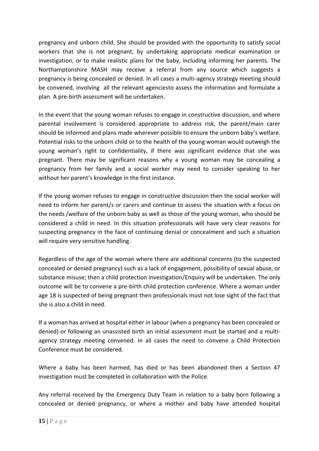pregnancy and unborn child. She should be provided with the opportunity to satisfy social workers that she is not pregnant, by undertaking appropriate medical examination or investigation, or to make realistic plans for the baby, including informing her parents. The Northamptonshire MASH may receive a referral from any source which suggests a pregnancy is being concealed or denied. In all cases a multi-agency strategy meeting should be convened, involving all the relevant agenciesto assess the information and formulate a plan. A pre-birth assessment will be undertaken.

In the event that the young woman refuses to engage in constructive discussion, and where parental involvement is considered appropriate to address risk, the parent/main carer should be informed and plans made wherever possible to ensure the unborn baby's welfare. Potential risks to the unborn child or to the health of the young woman would outweigh the young woman's right to confidentiality, if there was significant evidence that she was pregnant. There may be significant reasons why a young woman may be concealing a pregnancy from her family and a social worker may need to consider speaking to her without her parent's knowledge in the first instance.

If the young woman refuses to engage in constructive discussion then the social worker will need to inform her parent/s or carers and continue to assess the situation with a focus on the needs /welfare of the unborn baby as well as those of the young woman, who should be considered a child in need. In this situation professionals will have very clear reasons for suspecting pregnancy in the face of continuing denial or concealment and such a situation will require very sensitive handling.

Regardless of the age of the woman where there are additional concerns (to the suspected concealed or denied pregnancy) such as a lack of engagement, possibility of sexual abuse, or substance misuse; then a child protection investigation/Enquiry will be undertaken. The only outcome will be to convene a pre-birth child protection conference. Where a woman under age 18 is suspected of being pregnant then professionals must not lose sight of the fact that she is also a child in need.

If a woman has arrived at hospital either in labour (when a pregnancy has been concealed or denied) or following an unassisted birth an initial assessment must be started and a multiagency strategy meeting convened. In all cases the need to convene a Child Protection Conference must be considered.

Where a baby has been harmed, has died or has been abandoned then a Section 47 investigation must be completed in collaboration with the Police.

Any referral received by the Emergency Duty Team in relation to a baby born following a concealed or denied pregnancy, or where a mother and baby have attended hospital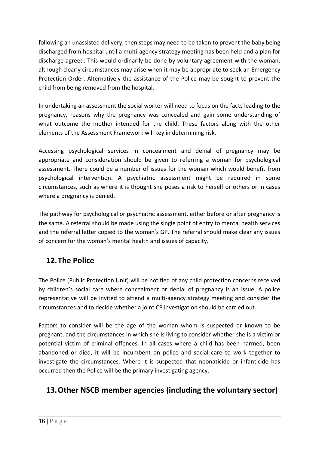following an unassisted delivery, then steps may need to be taken to prevent the baby being discharged from hospital until a multi-agency strategy meeting has been held and a plan for discharge agreed. This would ordinarily be done by voluntary agreement with the woman, although clearly circumstances may arise when it may be appropriate to seek an Emergency Protection Order. Alternatively the assistance of the Police may be sought to prevent the child from being removed from the hospital.

In undertaking an assessment the social worker will need to focus on the facts leading to the pregnancy, reasons why the pregnancy was concealed and gain some understanding of what outcome the mother intended for the child. These factors along with the other elements of the Assessment Framework will key in determining risk.

Accessing psychological services in concealment and denial of pregnancy may be appropriate and consideration should be given to referring a woman for psychological assessment. There could be a number of issues for the woman which would benefit from psychological intervention. A psychiatric assessment might be required in some circumstances, such as where it is thought she poses a risk to herself or others or in cases where a pregnancy is denied.

The pathway for psychological or psychiatric assessment, either before or after pregnancy is the same. A referral should be made using the single point of entry to mental health services and the referral letter copied to the woman's GP. The referral should make clear any issues of concern for the woman's mental health and issues of capacity.

## **12.The Police**

The Police (Public Protection Unit) will be notified of any child protection concerns received by children's social care where concealment or denial of pregnancy is an issue. A police representative will be invited to attend a multi-agency strategy meeting and consider the circumstances and to decide whether a joint CP investigation should be carried out.

Factors to consider will be the age of the woman whom is suspected or known to be pregnant, and the circumstances in which she is living to consider whether she is a victim or potential victim of criminal offences. In all cases where a child has been harmed, been abandoned or died, it will be incumbent on police and social care to work together to investigate the circumstances. Where it is suspected that neonaticide or infanticide has occurred then the Police will be the primary investigating agency.

## **13.Other NSCB member agencies (including the voluntary sector)**